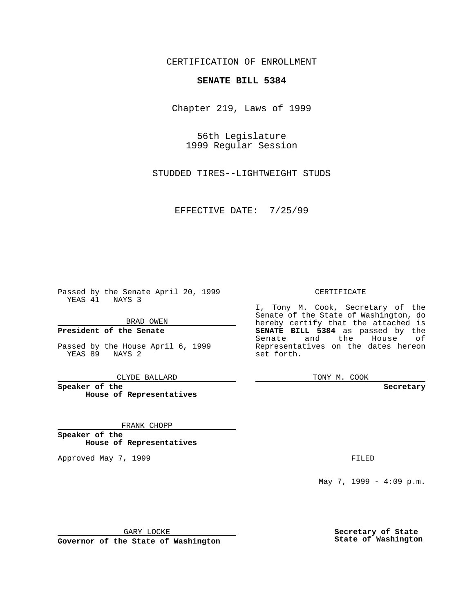CERTIFICATION OF ENROLLMENT

## **SENATE BILL 5384**

Chapter 219, Laws of 1999

56th Legislature 1999 Regular Session

STUDDED TIRES--LIGHTWEIGHT STUDS

EFFECTIVE DATE: 7/25/99

Passed by the Senate April 20, 1999 YEAS 41 NAYS 3

BRAD OWEN

**President of the Senate**

Passed by the House April 6, 1999 YEAS 89 NAYS 2

CLYDE BALLARD

**Speaker of the House of Representatives**

FRANK CHOPP

**Speaker of the House of Representatives**

Approved May 7, 1999 **FILED** 

CERTIFICATE

I, Tony M. Cook, Secretary of the Senate of the State of Washington, do hereby certify that the attached is **SENATE BILL 5384** as passed by the Senate and the House of Representatives on the dates hereon set forth.

TONY M. COOK

**Secretary**

May 7, 1999 - 4:09 p.m.

GARY LOCKE

**Governor of the State of Washington**

**Secretary of State State of Washington**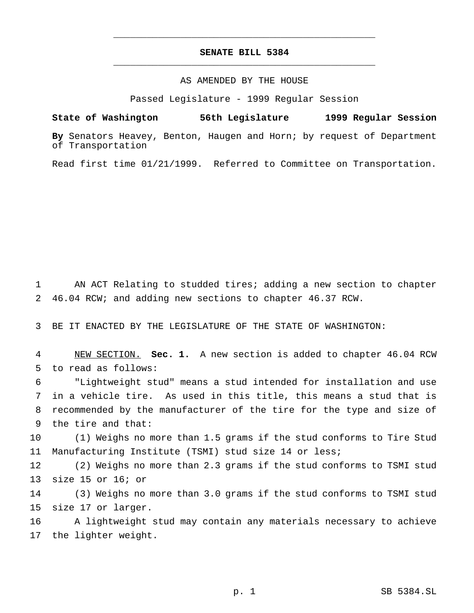## **SENATE BILL 5384** \_\_\_\_\_\_\_\_\_\_\_\_\_\_\_\_\_\_\_\_\_\_\_\_\_\_\_\_\_\_\_\_\_\_\_\_\_\_\_\_\_\_\_\_\_\_\_

\_\_\_\_\_\_\_\_\_\_\_\_\_\_\_\_\_\_\_\_\_\_\_\_\_\_\_\_\_\_\_\_\_\_\_\_\_\_\_\_\_\_\_\_\_\_\_

## AS AMENDED BY THE HOUSE

Passed Legislature - 1999 Regular Session

**State of Washington 56th Legislature 1999 Regular Session**

**By** Senators Heavey, Benton, Haugen and Horn; by request of Department of Transportation

Read first time 01/21/1999. Referred to Committee on Transportation.

 AN ACT Relating to studded tires; adding a new section to chapter 46.04 RCW; and adding new sections to chapter 46.37 RCW.

BE IT ENACTED BY THE LEGISLATURE OF THE STATE OF WASHINGTON:

 NEW SECTION. **Sec. 1.** A new section is added to chapter 46.04 RCW to read as follows:

 "Lightweight stud" means a stud intended for installation and use in a vehicle tire. As used in this title, this means a stud that is recommended by the manufacturer of the tire for the type and size of the tire and that:

 (1) Weighs no more than 1.5 grams if the stud conforms to Tire Stud Manufacturing Institute (TSMI) stud size 14 or less;

 (2) Weighs no more than 2.3 grams if the stud conforms to TSMI stud size 15 or 16; or

 (3) Weighs no more than 3.0 grams if the stud conforms to TSMI stud size 17 or larger.

 A lightweight stud may contain any materials necessary to achieve the lighter weight.